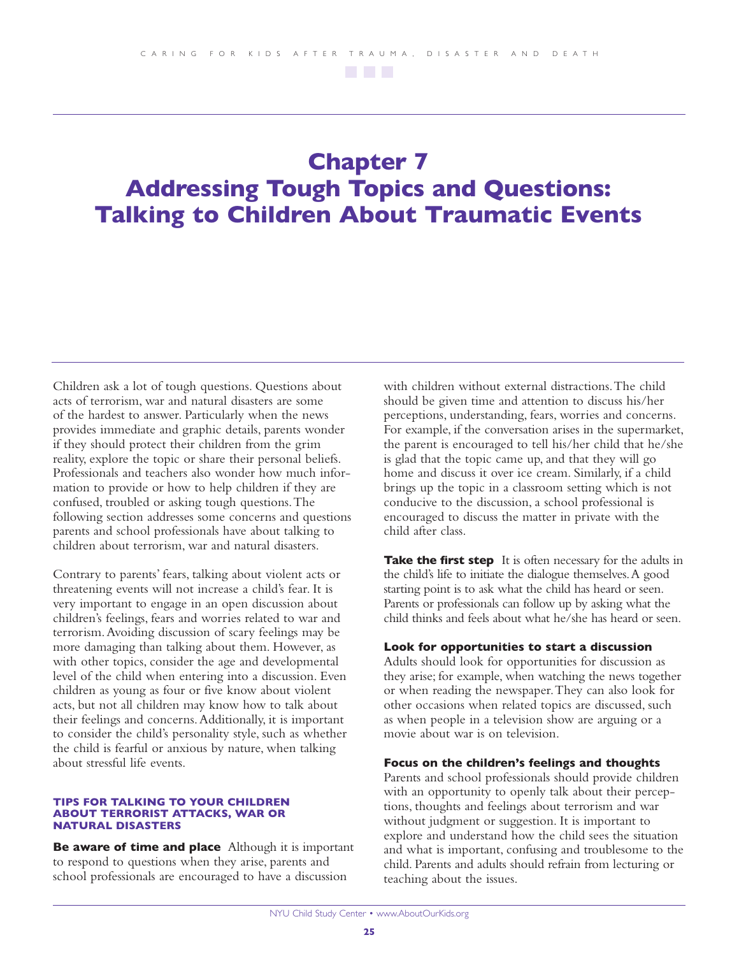## **Chapter 7 Addressing Tough Topics and Questions: Talking to Children About Traumatic Events**

Children ask a lot of tough questions. Questions about acts of terrorism, war and natural disasters are some of the hardest to answer. Particularly when the news provides immediate and graphic details, parents wonder if they should protect their children from the grim reality, explore the topic or share their personal beliefs. Professionals and teachers also wonder how much information to provide or how to help children if they are confused, troubled or asking tough questions.The following section addresses some concerns and questions parents and school professionals have about talking to children about terrorism, war and natural disasters.

Contrary to parents' fears, talking about violent acts or threatening events will not increase a child's fear. It is very important to engage in an open discussion about children's feelings, fears and worries related to war and terrorism.Avoiding discussion of scary feelings may be more damaging than talking about them. However, as with other topics, consider the age and developmental level of the child when entering into a discussion. Even children as young as four or five know about violent acts, but not all children may know how to talk about their feelings and concerns.Additionally, it is important to consider the child's personality style, such as whether the child is fearful or anxious by nature, when talking about stressful life events.

## **TIPS FOR TALKING TO YOUR CHILDREN ABOUT TERRORIST ATTACKS, WAR OR NATURAL DISASTERS**

**Be aware of time and place** Although it is important to respond to questions when they arise, parents and school professionals are encouraged to have a discussion

with children without external distractions.The child should be given time and attention to discuss his/her perceptions, understanding, fears, worries and concerns. For example, if the conversation arises in the supermarket, the parent is encouraged to tell his/her child that he/she is glad that the topic came up, and that they will go home and discuss it over ice cream. Similarly, if a child brings up the topic in a classroom setting which is not conducive to the discussion, a school professional is encouraged to discuss the matter in private with the child after class.

**Take the first step** It is often necessary for the adults in the child's life to initiate the dialogue themselves.A good starting point is to ask what the child has heard or seen. Parents or professionals can follow up by asking what the child thinks and feels about what he/she has heard or seen.

## **Look for opportunities to start a discussion**

Adults should look for opportunities for discussion as they arise; for example, when watching the news together or when reading the newspaper.They can also look for other occasions when related topics are discussed, such as when people in a television show are arguing or a movie about war is on television.

## **Focus on the children's feelings and thoughts**

Parents and school professionals should provide children with an opportunity to openly talk about their perceptions, thoughts and feelings about terrorism and war without judgment or suggestion. It is important to explore and understand how the child sees the situation and what is important, confusing and troublesome to the child. Parents and adults should refrain from lecturing or teaching about the issues.